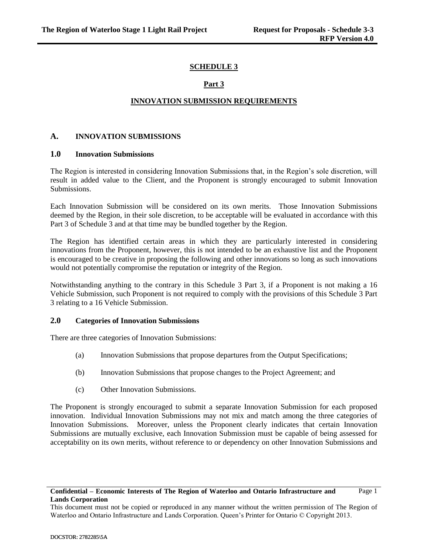## **SCHEDULE 3**

## **Part 3**

#### **INNOVATION SUBMISSION REQUIREMENTS**

#### **A. INNOVATION SUBMISSIONS**

#### **1.0 Innovation Submissions**

The Region is interested in considering Innovation Submissions that, in the Region's sole discretion, will result in added value to the Client, and the Proponent is strongly encouraged to submit Innovation Submissions.

Each Innovation Submission will be considered on its own merits. Those Innovation Submissions deemed by the Region, in their sole discretion, to be acceptable will be evaluated in accordance with this Part 3 of Schedule 3 and at that time may be bundled together by the Region.

The Region has identified certain areas in which they are particularly interested in considering innovations from the Proponent, however, this is not intended to be an exhaustive list and the Proponent is encouraged to be creative in proposing the following and other innovations so long as such innovations would not potentially compromise the reputation or integrity of the Region.

Notwithstanding anything to the contrary in this Schedule 3 Part 3, if a Proponent is not making a 16 Vehicle Submission, such Proponent is not required to comply with the provisions of this Schedule 3 Part 3 relating to a 16 Vehicle Submission.

#### **2.0 Categories of Innovation Submissions**

There are three categories of Innovation Submissions:

- (a) Innovation Submissions that propose departures from the Output Specifications;
- (b) Innovation Submissions that propose changes to the Project Agreement; and
- (c) Other Innovation Submissions.

The Proponent is strongly encouraged to submit a separate Innovation Submission for each proposed innovation. Individual Innovation Submissions may not mix and match among the three categories of Innovation Submissions. Moreover, unless the Proponent clearly indicates that certain Innovation Submissions are mutually exclusive, each Innovation Submission must be capable of being assessed for acceptability on its own merits, without reference to or dependency on other Innovation Submissions and

## **Confidential – Economic Interests of The Region of Waterloo and Ontario Infrastructure and Lands Corporation**

This document must not be copied or reproduced in any manner without the written permission of The Region of Waterloo and Ontario Infrastructure and Lands Corporation. Queen's Printer for Ontario © Copyright 2013.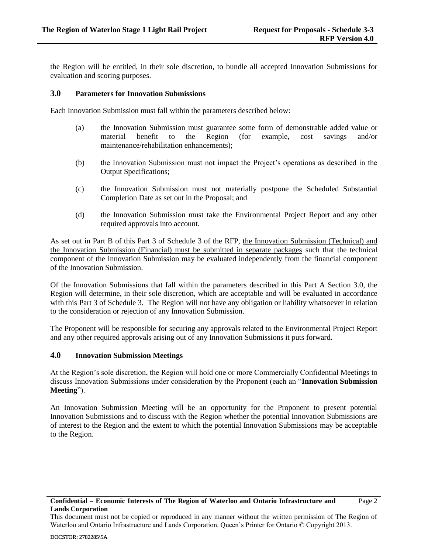the Region will be entitled, in their sole discretion, to bundle all accepted Innovation Submissions for evaluation and scoring purposes.

#### <span id="page-1-0"></span>**3.0 Parameters for Innovation Submissions**

Each Innovation Submission must fall within the parameters described below:

- (a) the Innovation Submission must guarantee some form of demonstrable added value or material benefit to the Region (for example, cost savings and/or maintenance/rehabilitation enhancements);
- (b) the Innovation Submission must not impact the Project's operations as described in the Output Specifications;
- (c) the Innovation Submission must not materially postpone the Scheduled Substantial Completion Date as set out in the Proposal; and
- (d) the Innovation Submission must take the Environmental Project Report and any other required approvals into account.

As set out in Part B of this Part 3 of Schedule 3 of the RFP, the Innovation Submission (Technical) and the Innovation Submission (Financial) must be submitted in separate packages such that the technical component of the Innovation Submission may be evaluated independently from the financial component of the Innovation Submission.

Of the Innovation Submissions that fall within the parameters described in this Part A Section 3.0, the Region will determine, in their sole discretion, which are acceptable and will be evaluated in accordance with this Part 3 of Schedule 3. The Region will not have any obligation or liability whatsoever in relation to the consideration or rejection of any Innovation Submission.

The Proponent will be responsible for securing any approvals related to the Environmental Project Report and any other required approvals arising out of any Innovation Submissions it puts forward.

## **4.0 Innovation Submission Meetings**

At the Region's sole discretion, the Region will hold one or more Commercially Confidential Meetings to discuss Innovation Submissions under consideration by the Proponent (each an "**Innovation Submission Meeting**").

An Innovation Submission Meeting will be an opportunity for the Proponent to present potential Innovation Submissions and to discuss with the Region whether the potential Innovation Submissions are of interest to the Region and the extent to which the potential Innovation Submissions may be acceptable to the Region.

#### **Confidential – Economic Interests of The Region of Waterloo and Ontario Infrastructure and Lands Corporation**

This document must not be copied or reproduced in any manner without the written permission of The Region of Waterloo and Ontario Infrastructure and Lands Corporation. Queen's Printer for Ontario © Copyright 2013.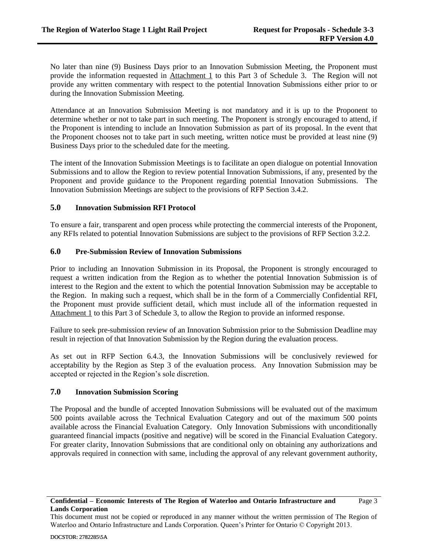No later than nine (9) Business Days prior to an Innovation Submission Meeting, the Proponent must provide the information requested in Attachment 1 to this Part 3 of Schedule 3. The Region will not provide any written commentary with respect to the potential Innovation Submissions either prior to or during the Innovation Submission Meeting.

Attendance at an Innovation Submission Meeting is not mandatory and it is up to the Proponent to determine whether or not to take part in such meeting. The Proponent is strongly encouraged to attend, if the Proponent is intending to include an Innovation Submission as part of its proposal. In the event that the Proponent chooses not to take part in such meeting, written notice must be provided at least nine (9) Business Days prior to the scheduled date for the meeting.

The intent of the Innovation Submission Meetings is to facilitate an open dialogue on potential Innovation Submissions and to allow the Region to review potential Innovation Submissions, if any, presented by the Proponent and provide guidance to the Proponent regarding potential Innovation Submissions. The Innovation Submission Meetings are subject to the provisions of RFP Section 3.4.2.

## **5.0 Innovation Submission RFI Protocol**

To ensure a fair, transparent and open process while protecting the commercial interests of the Proponent, any RFIs related to potential Innovation Submissions are subject to the provisions of RFP Section 3.2.2.

## **6.0 Pre-Submission Review of Innovation Submissions**

Prior to including an Innovation Submission in its Proposal, the Proponent is strongly encouraged to request a written indication from the Region as to whether the potential Innovation Submission is of interest to the Region and the extent to which the potential Innovation Submission may be acceptable to the Region. In making such a request, which shall be in the form of a Commercially Confidential RFI, the Proponent must provide sufficient detail, which must include all of the information requested in Attachment 1 to this Part 3 of Schedule 3, to allow the Region to provide an informed response.

Failure to seek pre-submission review of an Innovation Submission prior to the Submission Deadline may result in rejection of that Innovation Submission by the Region during the evaluation process.

As set out in RFP Section 6.4.3, the Innovation Submissions will be conclusively reviewed for acceptability by the Region as Step 3 of the evaluation process. Any Innovation Submission may be accepted or rejected in the Region's sole discretion.

## **7.0 Innovation Submission Scoring**

The Proposal and the bundle of accepted Innovation Submissions will be evaluated out of the maximum 500 points available across the Technical Evaluation Category and out of the maximum 500 points available across the Financial Evaluation Category. Only Innovation Submissions with unconditionally guaranteed financial impacts (positive and negative) will be scored in the Financial Evaluation Category. For greater clarity, Innovation Submissions that are conditional only on obtaining any authorizations and approvals required in connection with same, including the approval of any relevant government authority,

This document must not be copied or reproduced in any manner without the written permission of The Region of Waterloo and Ontario Infrastructure and Lands Corporation. Queen's Printer for Ontario © Copyright 2013.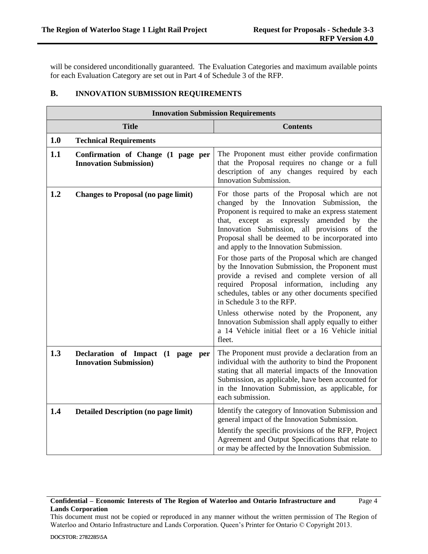will be considered unconditionally guaranteed. The Evaluation Categories and maximum available points for each Evaluation Category are set out in Part 4 of Schedule 3 of the RFP.

## **B. INNOVATION SUBMISSION REQUIREMENTS**

| <b>Innovation Submission Requirements</b> |                                                                      |                                                                                                                                                                                                                                                                                                                                                                                                                                                                                                                                                                                                                                                                                                                                                                                                                          |  |  |  |
|-------------------------------------------|----------------------------------------------------------------------|--------------------------------------------------------------------------------------------------------------------------------------------------------------------------------------------------------------------------------------------------------------------------------------------------------------------------------------------------------------------------------------------------------------------------------------------------------------------------------------------------------------------------------------------------------------------------------------------------------------------------------------------------------------------------------------------------------------------------------------------------------------------------------------------------------------------------|--|--|--|
| <b>Title</b>                              |                                                                      | <b>Contents</b>                                                                                                                                                                                                                                                                                                                                                                                                                                                                                                                                                                                                                                                                                                                                                                                                          |  |  |  |
| 1.0                                       | <b>Technical Requirements</b>                                        |                                                                                                                                                                                                                                                                                                                                                                                                                                                                                                                                                                                                                                                                                                                                                                                                                          |  |  |  |
| 1.1                                       | Confirmation of Change (1 page per<br><b>Innovation Submission</b> ) | The Proponent must either provide confirmation<br>that the Proposal requires no change or a full<br>description of any changes required by each<br>Innovation Submission.                                                                                                                                                                                                                                                                                                                                                                                                                                                                                                                                                                                                                                                |  |  |  |
| 1.2                                       | <b>Changes to Proposal (no page limit)</b>                           | For those parts of the Proposal which are not<br>changed by the Innovation Submission,<br>the<br>Proponent is required to make an express statement<br>that, except as expressly amended<br>by<br>the<br>Innovation Submission, all provisions of the<br>Proposal shall be deemed to be incorporated into<br>and apply to the Innovation Submission.<br>For those parts of the Proposal which are changed<br>by the Innovation Submission, the Proponent must<br>provide a revised and complete version of all<br>required Proposal information, including any<br>schedules, tables or any other documents specified<br>in Schedule 3 to the RFP.<br>Unless otherwise noted by the Proponent, any<br>Innovation Submission shall apply equally to either<br>a 14 Vehicle initial fleet or a 16 Vehicle initial<br>fleet. |  |  |  |
| 1.3                                       | Declaration of Impact (1 page per<br><b>Innovation Submission</b> )  | The Proponent must provide a declaration from an<br>individual with the authority to bind the Proponent<br>stating that all material impacts of the Innovation<br>Submission, as applicable, have been accounted for<br>in the Innovation Submission, as applicable, for<br>each submission.                                                                                                                                                                                                                                                                                                                                                                                                                                                                                                                             |  |  |  |
| 1.4                                       | <b>Detailed Description (no page limit)</b>                          | Identify the category of Innovation Submission and<br>general impact of the Innovation Submission.<br>Identify the specific provisions of the RFP, Project<br>Agreement and Output Specifications that relate to<br>or may be affected by the Innovation Submission.                                                                                                                                                                                                                                                                                                                                                                                                                                                                                                                                                     |  |  |  |

## **Confidential – Economic Interests of The Region of Waterloo and Ontario Infrastructure and Lands Corporation**

This document must not be copied or reproduced in any manner without the written permission of The Region of Waterloo and Ontario Infrastructure and Lands Corporation. Queen's Printer for Ontario © Copyright 2013.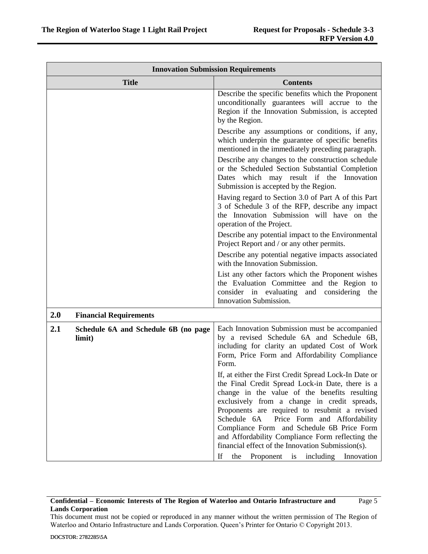| <b>Innovation Submission Requirements</b>             |                                                                                                                                                                                                                                                                                                                                                                                                                                                                                                                  |  |  |  |
|-------------------------------------------------------|------------------------------------------------------------------------------------------------------------------------------------------------------------------------------------------------------------------------------------------------------------------------------------------------------------------------------------------------------------------------------------------------------------------------------------------------------------------------------------------------------------------|--|--|--|
| <b>Title</b>                                          | <b>Contents</b>                                                                                                                                                                                                                                                                                                                                                                                                                                                                                                  |  |  |  |
|                                                       | Describe the specific benefits which the Proponent<br>unconditionally guarantees will accrue to the<br>Region if the Innovation Submission, is accepted<br>by the Region.                                                                                                                                                                                                                                                                                                                                        |  |  |  |
|                                                       | Describe any assumptions or conditions, if any,<br>which underpin the guarantee of specific benefits<br>mentioned in the immediately preceding paragraph.                                                                                                                                                                                                                                                                                                                                                        |  |  |  |
|                                                       | Describe any changes to the construction schedule<br>or the Scheduled Section Substantial Completion<br>Dates which may result if the Innovation<br>Submission is accepted by the Region.                                                                                                                                                                                                                                                                                                                        |  |  |  |
|                                                       | Having regard to Section 3.0 of Part A of this Part<br>3 of Schedule 3 of the RFP, describe any impact<br>the Innovation Submission will have on the<br>operation of the Project.                                                                                                                                                                                                                                                                                                                                |  |  |  |
|                                                       | Describe any potential impact to the Environmental<br>Project Report and / or any other permits.                                                                                                                                                                                                                                                                                                                                                                                                                 |  |  |  |
|                                                       | Describe any potential negative impacts associated<br>with the Innovation Submission.                                                                                                                                                                                                                                                                                                                                                                                                                            |  |  |  |
|                                                       | List any other factors which the Proponent wishes<br>the Evaluation Committee and the Region to<br>consider in evaluating and considering<br>the<br>Innovation Submission.                                                                                                                                                                                                                                                                                                                                       |  |  |  |
| 2.0<br><b>Financial Requirements</b>                  |                                                                                                                                                                                                                                                                                                                                                                                                                                                                                                                  |  |  |  |
| 2.1<br>Schedule 6A and Schedule 6B (no page<br>limit) | Each Innovation Submission must be accompanied<br>by a revised Schedule 6A and Schedule 6B,<br>including for clarity an updated Cost of Work<br>Form, Price Form and Affordability Compliance<br>Form.                                                                                                                                                                                                                                                                                                           |  |  |  |
|                                                       | If, at either the First Credit Spread Lock-In Date or<br>the Final Credit Spread Lock-in Date, there is a<br>change in the value of the benefits resulting<br>exclusively from a change in credit spreads,<br>Proponents are required to resubmit a revised<br>Schedule 6A<br>Price Form and Affordability<br>Compliance Form and Schedule 6B Price Form<br>and Affordability Compliance Form reflecting the<br>financial effect of the Innovation Submission(s).<br>If<br>the Proponent is including Innovation |  |  |  |

#### **Confidential – Economic Interests of The Region of Waterloo and Ontario Infrastructure and Lands Corporation** Page 5

This document must not be copied or reproduced in any manner without the written permission of The Region of Waterloo and Ontario Infrastructure and Lands Corporation. Queen's Printer for Ontario © Copyright 2013.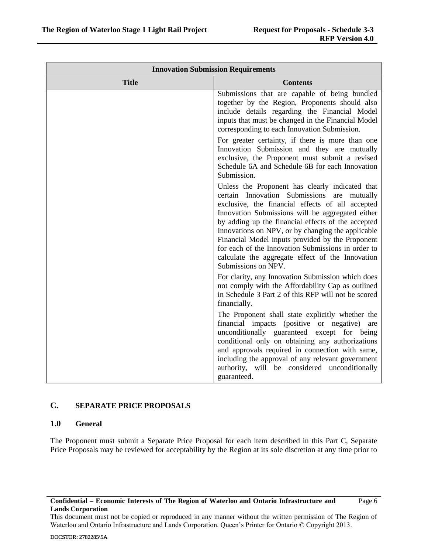| <b>Innovation Submission Requirements</b> |                                                                                                                                                                                                                                                                                                                                                                                                                                                                                                        |  |  |  |
|-------------------------------------------|--------------------------------------------------------------------------------------------------------------------------------------------------------------------------------------------------------------------------------------------------------------------------------------------------------------------------------------------------------------------------------------------------------------------------------------------------------------------------------------------------------|--|--|--|
| <b>Title</b>                              | <b>Contents</b>                                                                                                                                                                                                                                                                                                                                                                                                                                                                                        |  |  |  |
|                                           | Submissions that are capable of being bundled<br>together by the Region, Proponents should also<br>include details regarding the Financial Model<br>inputs that must be changed in the Financial Model<br>corresponding to each Innovation Submission.<br>For greater certainty, if there is more than one<br>Innovation Submission and they are mutually<br>exclusive, the Proponent must submit a revised<br>Schedule 6A and Schedule 6B for each Innovation<br>Submission.                          |  |  |  |
|                                           | Unless the Proponent has clearly indicated that<br>certain Innovation Submissions are mutually<br>exclusive, the financial effects of all accepted<br>Innovation Submissions will be aggregated either<br>by adding up the financial effects of the accepted<br>Innovations on NPV, or by changing the applicable<br>Financial Model inputs provided by the Proponent<br>for each of the Innovation Submissions in order to<br>calculate the aggregate effect of the Innovation<br>Submissions on NPV. |  |  |  |
|                                           | For clarity, any Innovation Submission which does<br>not comply with the Affordability Cap as outlined<br>in Schedule 3 Part 2 of this RFP will not be scored<br>financially.                                                                                                                                                                                                                                                                                                                          |  |  |  |
|                                           | The Proponent shall state explicitly whether the<br>financial impacts (positive or negative)<br>are<br>unconditionally guaranteed except for being<br>conditional only on obtaining any authorizations<br>and approvals required in connection with same,<br>including the approval of any relevant government<br>authority, will be considered unconditionally<br>guaranteed.                                                                                                                         |  |  |  |

# **C. SEPARATE PRICE PROPOSALS**

# **1.0 General**

The Proponent must submit a Separate Price Proposal for each item described in this Part C, Separate Price Proposals may be reviewed for acceptability by the Region at its sole discretion at any time prior to

This document must not be copied or reproduced in any manner without the written permission of The Region of Waterloo and Ontario Infrastructure and Lands Corporation. Queen's Printer for Ontario © Copyright 2013.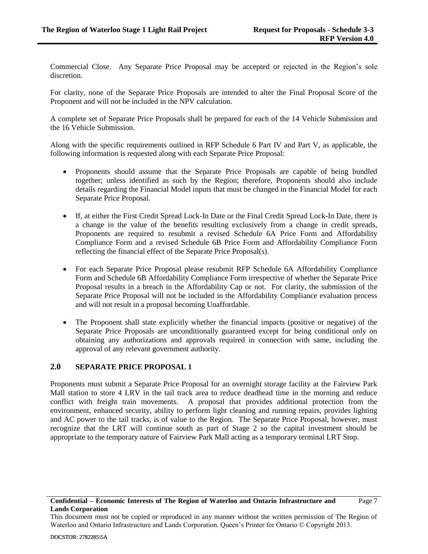Commercial Close. Any Separate Price Proposal may be accepted or rejected in the Region's sole discretion.

For clarity, none of the Separate Price Proposals are intended to alter the Final Proposal Score of the Proponent and will not be included in the NPV calculation.

A complete set of Separate Price Proposals shall be prepared for each of the 14 Vehicle Submission and the 16 Vehicle Submission.

Along with the specific requirements outlined in RFP Schedule 6 Part IV and Part V, as applicable, the following information is requested along with each Separate Price Proposal:

- Proponents should assume that the Separate Price Proposals are capable of being bundled together; unless identified as such by the Region; therefore, Proponents should also include details regarding the Financial Model inputs that must be changed in the Financial Model for each Separate Price Proposal.
- If, at either the First Credit Spread Lock-In Date or the Final Credit Spread Lock-In Date, there is a change in the value of the benefits resulting exclusively from a change in credit spreads, Proponents are required to resubmit a revised Schedule 6A Price Form and Affordability Compliance Form and a revised Schedule 6B Price Form and Affordability Compliance Form reflecting the financial effect of the Separate Price Proposal(s).
- For each Separate Price Proposal please resubmit RFP Schedule 6A Affordability Compliance Form and Schedule 6B Affordability Compliance Form irrespective of whether the Separate Price Proposal results in a breach in the Affordability Cap or not. For clarity, the submission of the Separate Price Proposal will not be included in the Affordability Compliance evaluation process and will not result in a proposal becoming Unaffordable.
- The Proponent shall state explicitly whether the financial impacts (positive or negative) of the Separate Price Proposals are unconditionally guaranteed except for being conditional only on obtaining any authorizations and approvals required in connection with same, including the approval of any relevant government authority.

# **2.0 SEPARATE PRICE PROPOSAL 1**

Proponents must submit a Separate Price Proposal for an overnight storage facility at the Fairview Park Mall station to store 4 LRV in the tail track area to reduce deadhead time in the morning and reduce conflict with freight train movements. A proposal that provides additional protection from the environment, enhanced security, ability to perform light cleaning and running repairs, provides lighting and AC power to the tail tracks, is of value to the Region. The Separate Price Proposal, however, must recognize that the LRT will continue south as part of Stage 2 so the capital investment should be appropriate to the temporary nature of Fairview Park Mall acting as a temporary terminal LRT Stop.

This document must not be copied or reproduced in any manner without the written permission of The Region of Waterloo and Ontario Infrastructure and Lands Corporation. Queen's Printer for Ontario © Copyright 2013.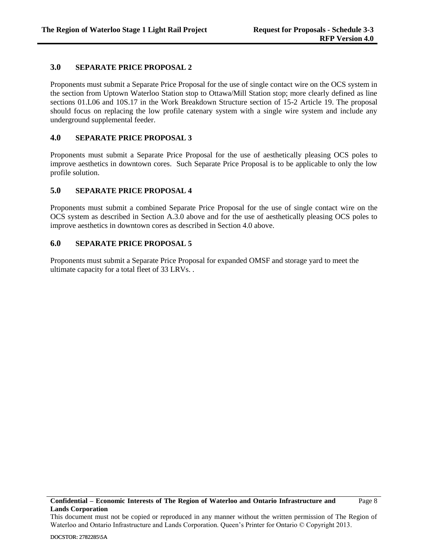## **3.0 SEPARATE PRICE PROPOSAL 2**

Proponents must submit a Separate Price Proposal for the use of single contact wire on the OCS system in the section from Uptown Waterloo Station stop to Ottawa/Mill Station stop; more clearly defined as line sections 01.L06 and 10S.17 in the Work Breakdown Structure section of 15-2 Article 19. The proposal should focus on replacing the low profile catenary system with a single wire system and include any underground supplemental feeder.

## **4.0 SEPARATE PRICE PROPOSAL 3**

Proponents must submit a Separate Price Proposal for the use of aesthetically pleasing OCS poles to improve aesthetics in downtown cores. Such Separate Price Proposal is to be applicable to only the low profile solution.

## **5.0 SEPARATE PRICE PROPOSAL 4**

Proponents must submit a combined Separate Price Proposal for the use of single contact wire on the OCS system as described in Section [A.3.0](#page-1-0) above and for the use of aesthetically pleasing OCS poles to improve aesthetics in downtown cores as described in Section 4.0 above.

## **6.0 SEPARATE PRICE PROPOSAL 5**

Proponents must submit a Separate Price Proposal for expanded OMSF and storage yard to meet the ultimate capacity for a total fleet of 33 LRVs. .

This document must not be copied or reproduced in any manner without the written permission of The Region of Waterloo and Ontario Infrastructure and Lands Corporation. Queen's Printer for Ontario © Copyright 2013.